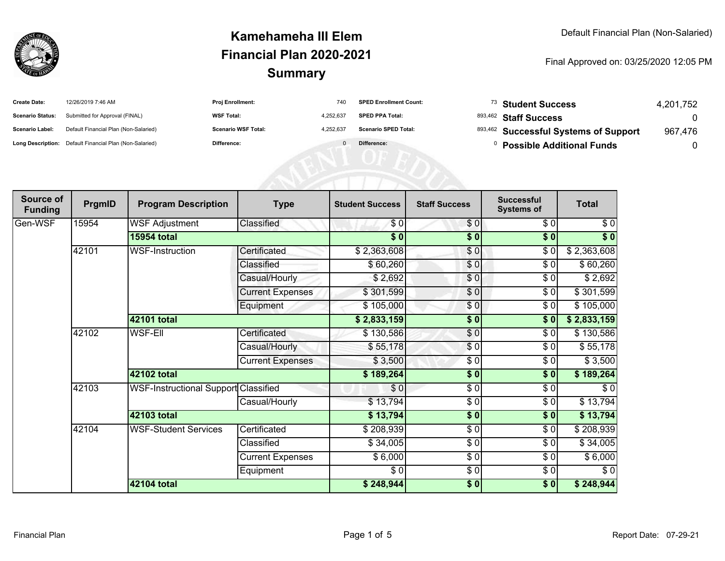

| <b>Create Date:</b>     | 12/26/2019 7:46 AM                                      | <b>Proj Enrollment:</b>    | 740       | <b>SPED Enrollment Count:</b> | <sup>73</sup> Student Success         | 4.201.752 |
|-------------------------|---------------------------------------------------------|----------------------------|-----------|-------------------------------|---------------------------------------|-----------|
| <b>Scenario Status:</b> | Submitted for Approval (FINAL)                          | <b>WSF Total:</b>          | 4.252.637 | <b>SPED PPA Total:</b>        | 893,462 Staff Success                 |           |
| <b>Scenario Label:</b>  | Default Financial Plan (Non-Salaried)                   | <b>Scenario WSF Total:</b> | 4.252.637 | <b>Scenario SPED Total:</b>   | 893,462 Successful Systems of Support | 967,476   |
|                         | Long Description: Default Financial Plan (Non-Salaried) | Difference:                |           | Difference:                   | <b>Possible Additional Funds</b>      |           |

| Source of<br><b>Funding</b> | PrgmID | <b>Program Description</b>                  | <b>Type</b>             | <b>Student Success</b> | <b>Staff Success</b> | <b>Successful</b><br><b>Systems of</b> | <b>Total</b>      |
|-----------------------------|--------|---------------------------------------------|-------------------------|------------------------|----------------------|----------------------------------------|-------------------|
| Gen-WSF                     | 15954  | <b>WSF Adjustment</b>                       | Classified              | \$0                    | \$0                  | \$0                                    | \$0               |
|                             |        | <b>15954 total</b>                          |                         | $\overline{\$0}$       | $\frac{1}{2}$        | $\overline{\bullet}$                   | $\overline{\$}$ 0 |
|                             | 42101  | <b>WSF-Instruction</b>                      | Certificated            | \$2,363,608            | $\frac{6}{3}$        | $\sqrt{6}$                             | \$2,363,608       |
|                             |        |                                             | Classified              | \$60,260               | \$0                  | \$0                                    | \$60,260          |
|                             |        |                                             | Casual/Hourly           | \$2,692                | \$0                  | \$0                                    | \$2,692           |
|                             |        |                                             | <b>Current Expenses</b> | \$301,599              | \$0                  | \$0                                    | \$301,599         |
|                             |        |                                             | Equipment               | \$105,000              | \$0                  | \$0                                    | \$105,000         |
|                             |        | 42101 total                                 |                         | \$2,833,159            | \$0                  | \$0                                    | \$2,833,159       |
|                             | 42102  | <b>WSF-Ell</b>                              | Certificated            | \$130,586              | \$0                  | \$0                                    | \$130,586         |
|                             |        |                                             | Casual/Hourly           | \$55,178               | $\frac{6}{3}$        | $\frac{1}{\sqrt{2}}$                   | \$55,178          |
|                             |        |                                             | <b>Current Expenses</b> | \$3,500                | $\frac{3}{2}$        | \$0                                    | \$3,500           |
|                             |        | 42102 total                                 |                         | \$189,264              | \$0                  | \$0                                    | \$189,264         |
|                             | 42103  | <b>WSF-Instructional Support Classified</b> |                         | \$0                    | $\frac{3}{2}$        | $\frac{1}{\sqrt{2}}$                   | $\sqrt{6}$        |
|                             |        |                                             | Casual/Hourly           | \$13,794               | $\frac{3}{2}$        | \$0                                    | \$13,794          |
|                             |        | <b>42103 total</b>                          |                         | \$13,794               | $\frac{1}{2}$        | $\overline{\$0}$                       | \$13,794          |
|                             | 42104  | <b>WSF-Student Services</b>                 | Certificated            | \$208,939              | $\frac{3}{2}$        | $\sqrt{6}$                             | \$208,939         |
|                             |        |                                             | Classified              | \$34,005               | \$0                  | \$0                                    | \$34,005          |
|                             |        |                                             | <b>Current Expenses</b> | \$6,000                | $\sqrt{6}$           | $\sqrt{6}$                             | \$6,000           |
|                             |        |                                             | Equipment               | \$0                    | $\frac{3}{2}$        | $\sqrt{6}$                             | $\sqrt{6}$        |
|                             |        | 42104 total                                 |                         | \$248,944              | \$0                  | $\frac{1}{2}$                          | \$248,944         |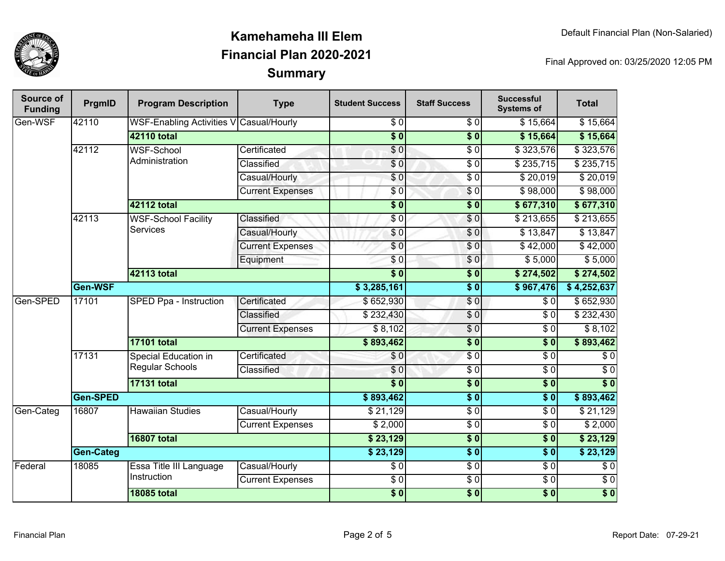

| Source of<br><b>Funding</b> | PrgmID           | <b>Program Description</b>                     | <b>Type</b>             | <b>Student Success</b> | <b>Staff Success</b> | <b>Successful</b><br><b>Systems of</b> | <b>Total</b>     |
|-----------------------------|------------------|------------------------------------------------|-------------------------|------------------------|----------------------|----------------------------------------|------------------|
| Gen-WSF                     | 42110            | <b>WSF-Enabling Activities V Casual/Hourly</b> |                         | $\overline{\$0}$       | $\overline{30}$      | \$15,664                               | \$15,664         |
|                             |                  | <b>42110 total</b>                             |                         | $\overline{\$0}$       | $\overline{\$0}$     | \$15,664                               | \$15,664         |
|                             | 42112            | <b>WSF-School</b>                              | Certificated            | $\overline{\$0}$       | $\overline{50}$      | \$323,576                              | \$323,576        |
|                             |                  | Administration                                 | Classified              | \$0                    | $\overline{50}$      | \$235,715                              | \$235,715        |
|                             |                  |                                                | Casual/Hourly           | $\overline{\$0}$       | $\overline{50}$      | \$20,019                               | \$20,019         |
|                             |                  |                                                | <b>Current Expenses</b> | \$0                    | $\sqrt{6}$           | \$98,000                               | \$98,000         |
|                             |                  | 42112 total                                    |                         | $\overline{\$0}$       | $\overline{\$0}$     | \$677,310                              | \$677,310        |
|                             | 42113            | <b>WSF-School Facility</b>                     | Classified              | \$0                    | $\sqrt{6}$           | \$213,655                              | \$213,655        |
|                             |                  | <b>Services</b>                                | Casual/Hourly           | \$0                    | \$0                  | \$13,847                               | \$13,847         |
|                             |                  |                                                | <b>Current Expenses</b> | \$0                    | $\overline{S}0$      | $\sqrt{$42,000}$                       | \$42,000         |
|                             |                  |                                                | Equipment               | \$0                    | \$0                  | \$5,000                                | \$5,000          |
|                             |                  | 42113 total                                    |                         | $\overline{50}$        | $\sqrt{6}$           | \$274,502                              | \$274,502        |
|                             | Gen-WSF          |                                                |                         | \$3,285,161            | $\overline{\$0}$     | \$967,476                              | \$4,252,637      |
| Gen-SPED                    | 17101            | <b>SPED Ppa - Instruction</b>                  | Certificated            | \$652,930              | $\sqrt{6}$           | \$0                                    | \$652,930        |
|                             |                  |                                                | Classified              | \$232,430              | \$0                  | $\overline{\$0}$                       | \$232,430        |
|                             |                  |                                                | <b>Current Expenses</b> | \$8,102                | \$0                  | \$0                                    | \$8,102          |
|                             |                  | <b>17101 total</b>                             |                         | \$893,462              | $\overline{\$0}$     | $\overline{\$0}$                       | \$893,462        |
|                             | 17131            | Special Education in<br><b>Regular Schools</b> | Certificated            | \$0                    | $\sqrt{6}$           | $\overline{\$0}$                       | $\sqrt{6}$       |
|                             |                  |                                                | Classified              | $\sqrt{6}$             | $\overline{50}$      | $\overline{S}0$                        | $\overline{\$0}$ |
|                             |                  | <b>17131 total</b>                             |                         | $\overline{\$0}$       | $\overline{\$0}$     | $\overline{\$0}$                       | $\overline{\$0}$ |
|                             | Gen-SPED         |                                                |                         | \$893,462              | $\overline{\$0}$     | $\overline{\$0}$                       | \$893,462        |
| Gen-Categ                   | 16807            | <b>Hawaiian Studies</b>                        | Casual/Hourly           | \$21,129               | $\sqrt{6}$           | $\overline{\$0}$                       | \$21,129         |
|                             |                  |                                                | <b>Current Expenses</b> | \$2,000                | $\sqrt{6}$           | $\overline{S}0$                        | \$2,000          |
|                             |                  | <b>16807 total</b>                             |                         | \$23,129               | $\overline{\$0}$     | $\overline{\$0}$                       | \$23,129         |
|                             | <b>Gen-Categ</b> |                                                | \$23,129                | $\overline{\$0}$       | $\overline{\$0}$     | \$23,129                               |                  |
| Federal                     | 18085            | Essa Title III Language<br>Instruction         | Casual/Hourly           | $\sqrt{6}$             | $\frac{6}{6}$        | $\overline{\$0}$                       | $\overline{60}$  |
|                             |                  |                                                | <b>Current Expenses</b> | $\overline{60}$        | $\sqrt{6}$           | $\sqrt{6}$                             | $\overline{60}$  |
|                             |                  | <b>18085 total</b>                             |                         | $\sqrt{6}$             | $\overline{\$0}$     | $\overline{\$0}$                       | $\overline{\$0}$ |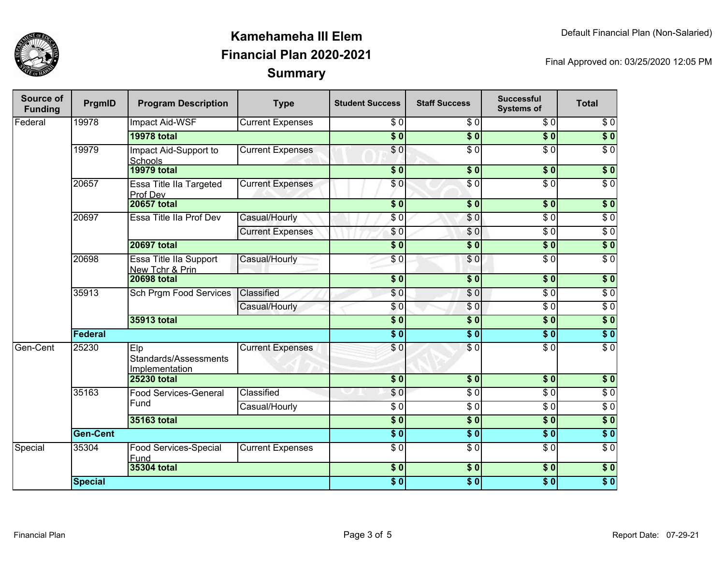

| Source of<br><b>Funding</b> | PrgmID          | <b>Program Description</b>                     | <b>Type</b>             | <b>Student Success</b> | <b>Staff Success</b> | <b>Successful</b><br><b>Systems of</b> | <b>Total</b>     |
|-----------------------------|-----------------|------------------------------------------------|-------------------------|------------------------|----------------------|----------------------------------------|------------------|
| Federal                     | 19978           | <b>Impact Aid-WSF</b>                          | <b>Current Expenses</b> | $\sqrt{6}$             | $\sqrt{6}$           | $\overline{\$0}$                       | $\overline{\$0}$ |
|                             |                 | <b>19978 total</b>                             |                         | $\overline{\$0}$       | $\overline{\$0}$     | $\overline{\$0}$                       | $\overline{\$0}$ |
|                             | 19979           | Impact Aid-Support to<br><b>Schools</b>        | <b>Current Expenses</b> | $\overline{\$0}$       | $\overline{\$0}$     | $\overline{S}0$                        | $\overline{\$0}$ |
|                             |                 | <b>19979 total</b>                             |                         | $\overline{\$0}$       | $\overline{\$0}$     | \$0                                    | $\overline{\$0}$ |
|                             | 20657           | Essa Title IIa Targeted<br>Prof Dev            | <b>Current Expenses</b> | $\overline{\$0}$       | $\overline{\$0}$     | $\overline{\$0}$                       | $\overline{\$0}$ |
|                             |                 | <b>20657 total</b>                             |                         | $\overline{\$0}$       | $\sqrt{6}$           | $\sqrt{6}$                             | \$0              |
|                             | 20697           | Essa Title IIa Prof Dev                        | Casual/Hourly           | \$0                    | \$0                  | $\sqrt{6}$                             | $\sqrt{6}$       |
|                             |                 |                                                | <b>Current Expenses</b> | \$0                    | \$0                  | $\overline{\$0}$                       | $\sqrt{6}$       |
|                             |                 | <b>20697 total</b>                             |                         | $\overline{\$0}$       | $\overline{\$0}$     | s <sub>0</sub>                         | $\overline{\$0}$ |
|                             | 20698           | Essa Title IIa Support<br>New Tchr & Prin      | Casual/Hourly           | \$0                    | \$0                  | $\sqrt{6}$                             | $\sqrt{6}$       |
|                             |                 | <b>20698 total</b>                             |                         | $\overline{\$0}$       | $\overline{\$0}$     | $\overline{\$0}$                       | $\overline{\$0}$ |
|                             | 35913           | <b>Sch Prgm Food Services</b>                  | Classified              | \$0                    | $\overline{\$0}$     | $\overline{\$0}$                       | $\overline{\$0}$ |
|                             |                 |                                                | Casual/Hourly           | \$0                    | $\sqrt{0}$           | $\overline{\$0}$                       | $\overline{\$0}$ |
|                             |                 | 35913 total                                    |                         | $\overline{\$0}$       | $\overline{\$0}$     | \$0]                                   | $\overline{\$0}$ |
|                             | Federal         |                                                |                         | $\overline{\bullet}$ 0 | $\overline{\$0}$     | $\overline{\$0}$                       | $\overline{\$0}$ |
| Gen-Cent                    | 25230           | Elp<br>Standards/Assessments<br>Implementation | <b>Current Expenses</b> | \$0                    | $\overline{\$0}$     | $\overline{\$0}$                       | $\overline{\$0}$ |
|                             |                 | <b>25230 total</b>                             |                         | $\overline{\$0}$       | \$0                  | \$0                                    | $\sqrt{6}$       |
|                             | 35163           | <b>Food Services-General</b>                   | Classified              | \$0                    | $\overline{\$0}$     | $\overline{\$0}$                       | $\overline{\$0}$ |
|                             |                 | Fund                                           | Casual/Hourly           | $\overline{\$0}$       | $\overline{\$0}$     | $\overline{\$0}$                       | $\overline{\$0}$ |
|                             |                 | 35163 total                                    |                         | $\overline{\$0}$       | $\sqrt{6}$           | \$0                                    | $\overline{\$0}$ |
|                             | <b>Gen-Cent</b> |                                                |                         | $\overline{\$0}$       | $\overline{\$0}$     | $\overline{\$0}$                       | $\overline{\$0}$ |
| Special                     | 35304           | Food Services-Special<br>Fund                  | <b>Current Expenses</b> | $\overline{\$0}$       | $\overline{\$0}$     | $\overline{\$0}$                       | $\overline{\$0}$ |
|                             |                 | 35304 total                                    |                         | $\overline{\$0}$       | $\overline{\$0}$     | \$0                                    | \$0              |
|                             | <b>Special</b>  |                                                |                         | \$0                    | $\overline{\$0}$     | \$0                                    | \$0              |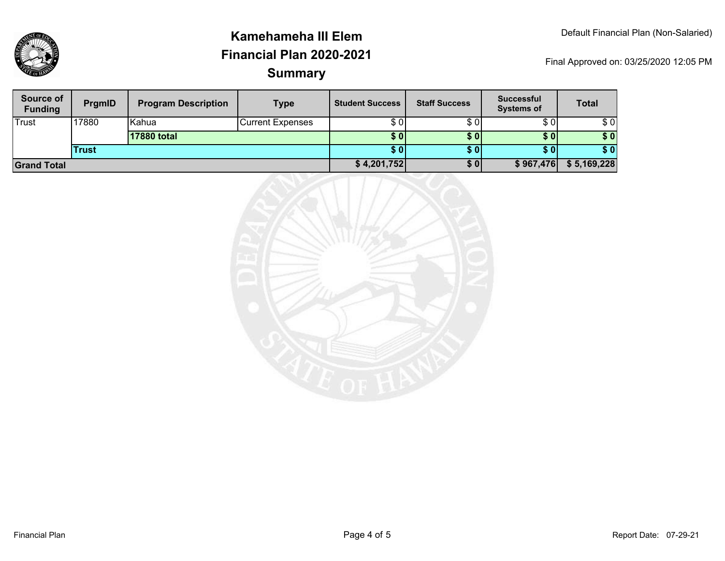| Source of<br><b>Funding</b> | <b>PrgmID</b> | <b>Program Description</b> | <b>Type</b>             | <b>Student Success</b> | <b>Staff Success</b> | <b>Successful</b><br><b>Systems of</b> | <b>Total</b> |
|-----------------------------|---------------|----------------------------|-------------------------|------------------------|----------------------|----------------------------------------|--------------|
| Trust                       | 17880         | lKahua                     | <b>Current Expenses</b> | \$ 01                  | \$0                  | \$0                                    | \$0          |
|                             |               | 17880 total                |                         | \$ 0 I                 | <b>SO</b>            | \$0                                    | \$0          |
|                             | <b>Trust</b>  |                            |                         | S 0 I                  | <b>SO</b>            | S OI                                   | \$0          |
| <b>Grand Total</b>          |               |                            | \$4,201,752]            | \$0                    | \$967,476            | \$5,169,228                            |              |